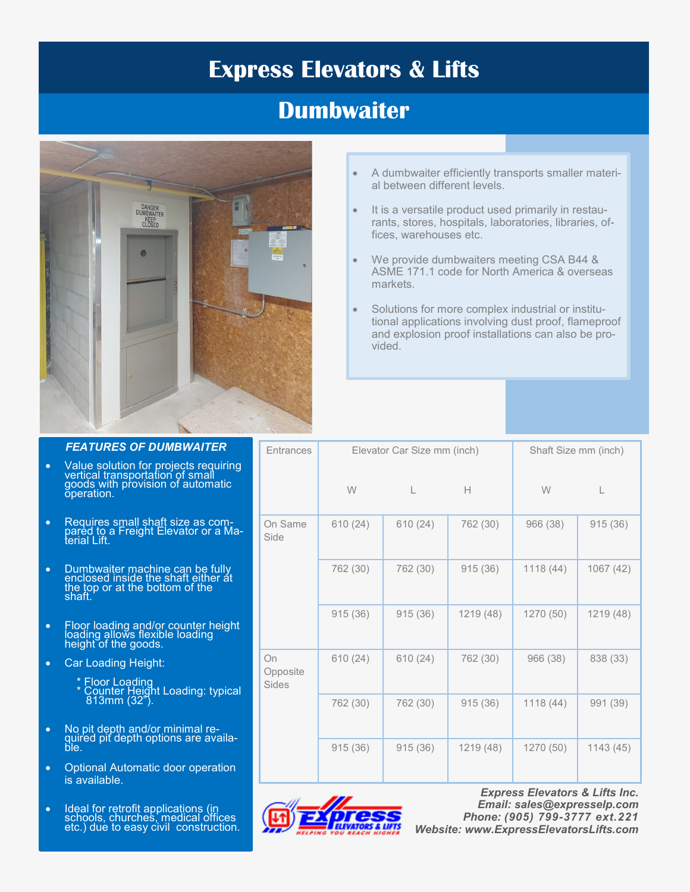# **Express Elevators & Lifts**

# **Dumbwaiter**



- A dumbwaiter efficiently transports smaller material between different levels.
- It is a versatile product used primarily in restaurants, stores, hospitals, laboratories, libraries, offices, warehouses etc.
- We provide dumbwaiters meeting CSA B44 & ASME 171.1 code for North America & overseas markets.
- Solutions for more complex industrial or institutional applications involving dust proof, flameproof and explosion proof installations can also be provided.

| <b>Entrances</b>               | Elevator Car Size mm (inch) |          |           | Shaft Size mm (inch) |           |
|--------------------------------|-----------------------------|----------|-----------|----------------------|-----------|
|                                | W                           | L        | Н         | W                    | L         |
| On Same<br>Side                | 610(24)                     | 610 (24) | 762 (30)  | 966 (38)             | 915(36)   |
|                                | 762 (30)                    | 762 (30) | 915(36)   | 1118(44)             | 1067 (42) |
|                                | 915(36)                     | 915(36)  | 1219 (48) | 1270 (50)            | 1219 (48) |
| On<br>Opposite<br><b>Sides</b> | 610(24)                     | 610(24)  | 762 (30)  | 966 (38)             | 838 (33)  |
|                                | 762 (30)                    | 762 (30) | 915(36)   | 1118(44)             | 991 (39)  |
|                                | 915(36)                     | 915(36)  | 1219 (48) | 1270 (50)            | 1143(45)  |



*Express Elevators & Lifts Inc. Email: sales@expresselp.com Phone: (905) 799-3777 ext.221 Website: [www.ExpressElevatorsLifts.com](http://www.expresselevatorslifts.com/)*

## *FEATURES OF DUMBWAITER*

- Value solution for projects requiring vertical transportation of small goods with provision of automatic operation.
- Requires small shaft size as compared to a Freight Elevator or a Material Lift.
- Dumbwaiter machine can be fully enclosed inside the shaft either at the top or at the bottom of the shaft.
- Floor loading and/or counter height loading allows flexible loading height of the goods.
- Car Loading Height:
- *\** Floor Loading **Example 15 Younter Height Loading: typical** 813mm (32").
- No pit depth and/or minimal required pit depth options are available.
- Optional Automatic door operation is available.
- Ideal for retrofit applications (in schools, churches, medical offices etc.) due to easy civil construction.